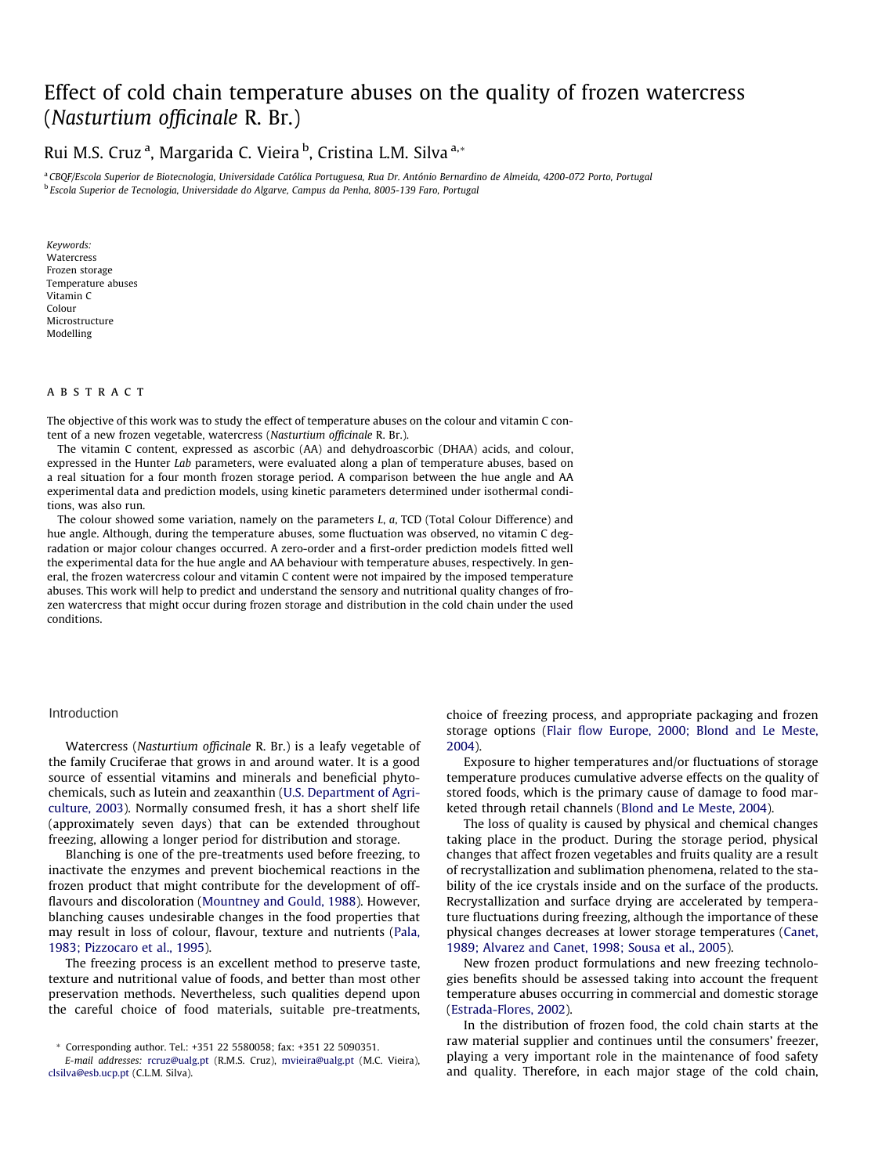# Effect of cold chain temperature abuses on the quality of frozen watercress (Nasturtium officinale R. Br.)

Rui M.S. Cruz<sup>a</sup>, Margarida C. Vieira <sup>b</sup>, Cristina L.M. Silva <sup>a,</sup>\*

a CBOF/Escola Superior de Biotecnologia, Universidade Católica Portuguesa, Rua Dr. António Bernardino de Almeida, 4200-072 Porto, Portugal <sup>b</sup> Escola Superior de Tecnologia, Universidade do Algarve, Campus da Penha, 8[005-139 Faro, Portugal](http://www.elsevier.com/locate/jfoodeng)

Keywords: **Watercress** Frozen storage Temperature abuses Vitamin C Colour Microstructure Modelling

# ABSTRACT

The objective of this work was to study the effect of temperature abuses on the colour and vitamin C content of a new frozen vegetable, watercress (Nasturtium officinale R. Br.).

The vitamin C content, expressed as ascorbic (AA) and dehydroascorbic (DHAA) acids, and colour, expressed in the Hunter Lab parameters, were evaluated along a plan of temperature abuses, based on a real situation for a four month frozen storage period. A comparison between the hue angle and AA experimental data and prediction models, using kinetic parameters determined under isothermal conditions, was also run.

The colour showed some variation, namely on the parameters L, a, TCD (Total Colour Difference) and hue angle. Although, during the temperature abuses, some fluctuation was observed, no vitamin C degradation or major colour changes occurred. A zero-order and a first-order prediction models fitted well the experimental data for the hue angle and AA behaviour with temperature abuses, respectively. In general, the frozen watercress colour and vitamin C content were not impaired by the imposed temperature abuses. This work will help to predict and understand the sensory and nutritional quality changes of frozen watercress that might occur during frozen storage and distribution in the cold chain under the used conditions.

# Introduction

Watercress (Nasturtium officinale R. Br.) is a leafy vegetable of the family Cruciferae that grows in and around water. It is a good source of essential vitamins and minerals and beneficial phytochemicals, such as lutein and zeaxanthin ([U.S. Department of Agri](#page-7-0)[culture, 2003\)](#page-7-0). Normally consumed fresh, it has a short shelf life (approximately seven days) that can be extended throughout freezing, allowing a longer period for distribution and storage.

Blanching is one of the pre-treatments used before freezing, to inactivate the enzymes and prevent biochemical reactions in the frozen product that might contribute for the development of offflavours and discoloration ([Mountney and Gould, 1988\)](#page-7-0). However, blanching causes undesirable changes in the food properties that may result in loss of colour, flavour, texture and nutrients [\(Pala,](#page-7-0) [1983; Pizzocaro et al., 1995](#page-7-0)).

The freezing process is an excellent method to preserve taste, texture and nutritional value of foods, and better than most other preservation methods. Nevertheless, such qualities depend upon the careful choice of food materials, suitable pre-treatments,

\* Corresponding author. Tel.: +351 22 5580058; fax: +351 22 5090351.

choice of freezing process, and appropriate packaging and frozen storage options [\(Flair flow Europe, 2000; Blond and Le Meste,](#page-7-0) [2004\)](#page-7-0).

Exposure to higher temperatures and/or fluctuations of storage temperature produces cumulative adverse effects on the quality of stored foods, which is the primary cause of damage to food marketed through retail channels ([Blond and Le Meste, 2004](#page-7-0)).

The loss of quality is caused by physical and chemical changes taking place in the product. During the storage period, physical changes that affect frozen vegetables and fruits quality are a result of recrystallization and sublimation phenomena, related to the stability of the ice crystals inside and on the surface of the products. Recrystallization and surface drying are accelerated by temperature fluctuations during freezing, although the importance of these physical changes decreases at lower storage temperatures [\(Canet,](#page-7-0) [1989; Alvarez and Canet, 1998; Sousa et al., 2005\)](#page-7-0).

New frozen product formulations and new freezing technologies benefits should be assessed taking into account the frequent temperature abuses occurring in commercial and domestic storage ([Estrada-Flores, 2002\)](#page-7-0).

In the distribution of frozen food, the cold chain starts at the raw material supplier and continues until the consumers' freezer, playing a very important role in the maintenance of food safety and quality. Therefore, in each major stage of the cold chain,

E-mail addresses: [rcruz@ualg.pt](mailto:rcruz@ualg.pt) (R.M.S. Cruz), [mvieira@ualg.pt](mailto:mvieira@ualg.pt) (M.C. Vieira), [clsilva@esb.ucp.pt](mailto:clsilva@esb.ucp.pt) (C.L.M. Silva).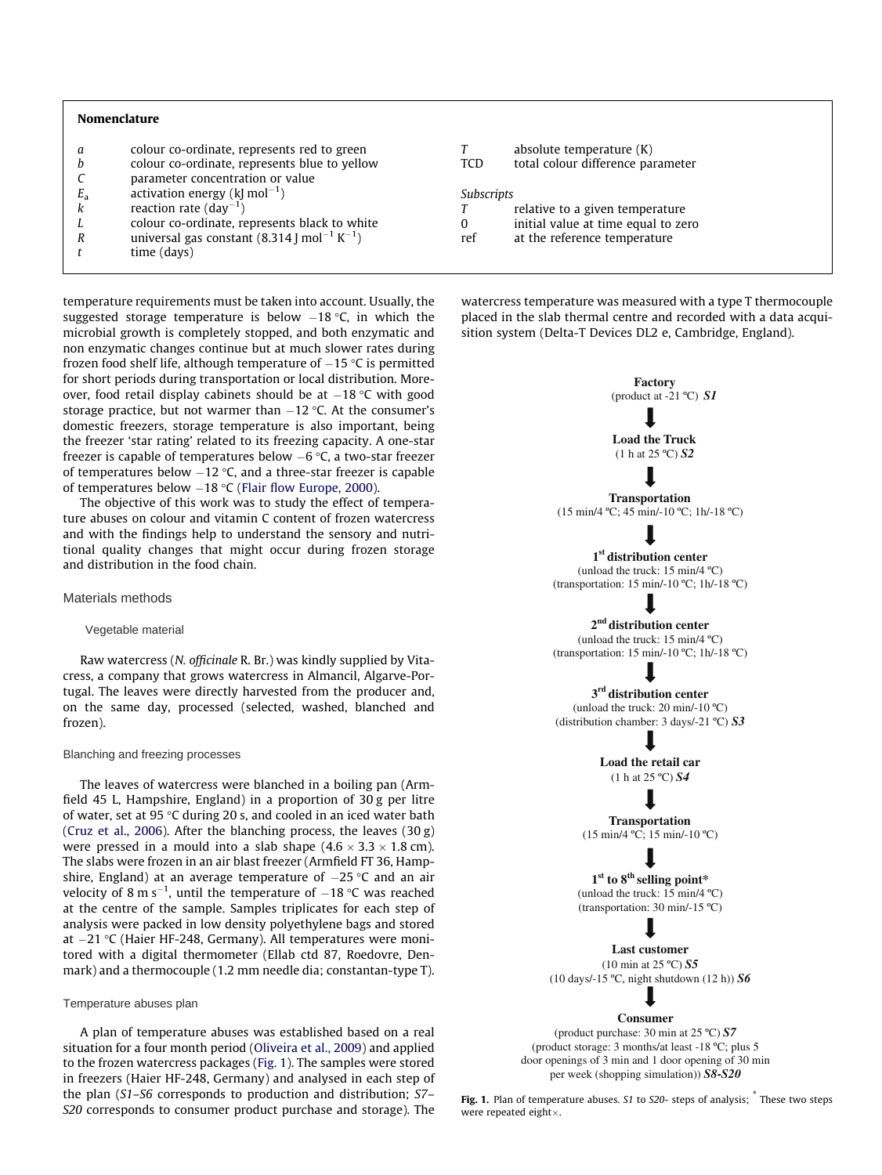|             | <b>Nomenclature</b>                                                |            |                                     |
|-------------|--------------------------------------------------------------------|------------|-------------------------------------|
| a           | colour co-ordinate, represents red to green                        |            | absolute temperature (K)            |
| b           | colour co-ordinate, represents blue to yellow                      | TCD        | total colour difference parameter   |
|             | parameter concentration or value                                   | Subscripts |                                     |
| $E_{\rm a}$ | activation energy ( $k$ J mol <sup>-1</sup> )                      |            |                                     |
| k           | reaction rate $(\text{day}^{-1})$                                  |            | relative to a given temperature     |
|             | colour co-ordinate, represents black to white                      | 0          | initial value at time equal to zero |
| R           | universal gas constant $(8.314 \text{ J mol}^{-1} \text{ K}^{-1})$ | ref        | at the reference temperature        |
|             | time (days)                                                        |            |                                     |

temperature requirements must be taken into account. Usually, the suggested storage temperature is below  $-18$  °C, in which the microbial growth is completely stopped, and both enzymatic and non enzymatic changes continue but at much slower rates during frozen food shelf life, although temperature of  $-15$  °C is permitted for short periods during transportation or local distribution. Moreover, food retail display cabinets should be at  $-18\,^{\circ}\textrm{C}$  with good storage practice, but not warmer than –12 °C. At the consumer's domestic freezers, storage temperature is also important, being the freezer 'star rating' related to its freezing capacity. A one-star freezer is capable of temperatures below  $-6$  °C, a two-star freezer of temperatures below  $-12$  °C, and a three-star freezer is capable of temperatures below –18 °C [\(Flair flow Europe, 2000\)](#page-7-0).

The objective of this work was to study the effect of temperature abuses on colour and vitamin C content of frozen watercress and with the findings help to understand the sensory and nutritional quality changes that might occur during frozen storage and distribution in the food chain.

# Materials methods

# Vegetable material

Raw watercress (N. officinale R. Br.) was kindly supplied by Vitacress, a company that grows watercress in Almancil, Algarve-Portugal. The leaves were directly harvested from the producer and, on the same day, processed (selected, washed, blanched and frozen).

### Blanching and freezing processes

The leaves of watercress were blanched in a boiling pan (Armfield 45 L, Hampshire, England) in a proportion of 30 g per litre of water, set at 95  $\degree$ C during 20 s, and cooled in an iced water bath ([Cruz et al., 2006\)](#page-7-0). After the blanching process, the leaves  $(30 g)$ were pressed in a mould into a slab shape  $(4.6 \times 3.3 \times 1.8 \text{ cm})$ . The slabs were frozen in an air blast freezer (Armfield FT 36, Hampshire, England) at an average temperature of  $-25\,^{\circ}\textrm{C}$  and an air velocity of 8 m s $^{-1}$ , until the temperature of  $-18\,^{\circ}\textrm{C}$  was reached at the centre of the sample. Samples triplicates for each step of analysis were packed in low density polyethylene bags and stored at –21 °C (Haier HF-248, Germany). All temperatures were monitored with a digital thermometer (Ellab ctd 87, Roedovre, Denmark) and a thermocouple (1.2 mm needle dia; constantan-type T).

# Temperature abuses plan

A plan of temperature abuses was established based on a real situation for a four month period ([Oliveira et al., 2009](#page-7-0)) and applied to the frozen watercress packages (Fig. 1). The samples were stored in freezers (Haier HF-248, Germany) and analysed in each step of the plan (S1–S6 corresponds to production and distribution; S7– S20 corresponds to consumer product purchase and storage). The

watercress temperature was measured with a type T thermocouple placed in the slab thermal centre and recorded with a data acquisition system (Delta-T Devices DL2 e, Cambridge, England).



per week (shopping simulation)) *S8***-***S20*

Fig. 1. Plan of temperature abuses.  $S1$  to  $S20$ - steps of analysis; These two steps were repeated eight $\times$ .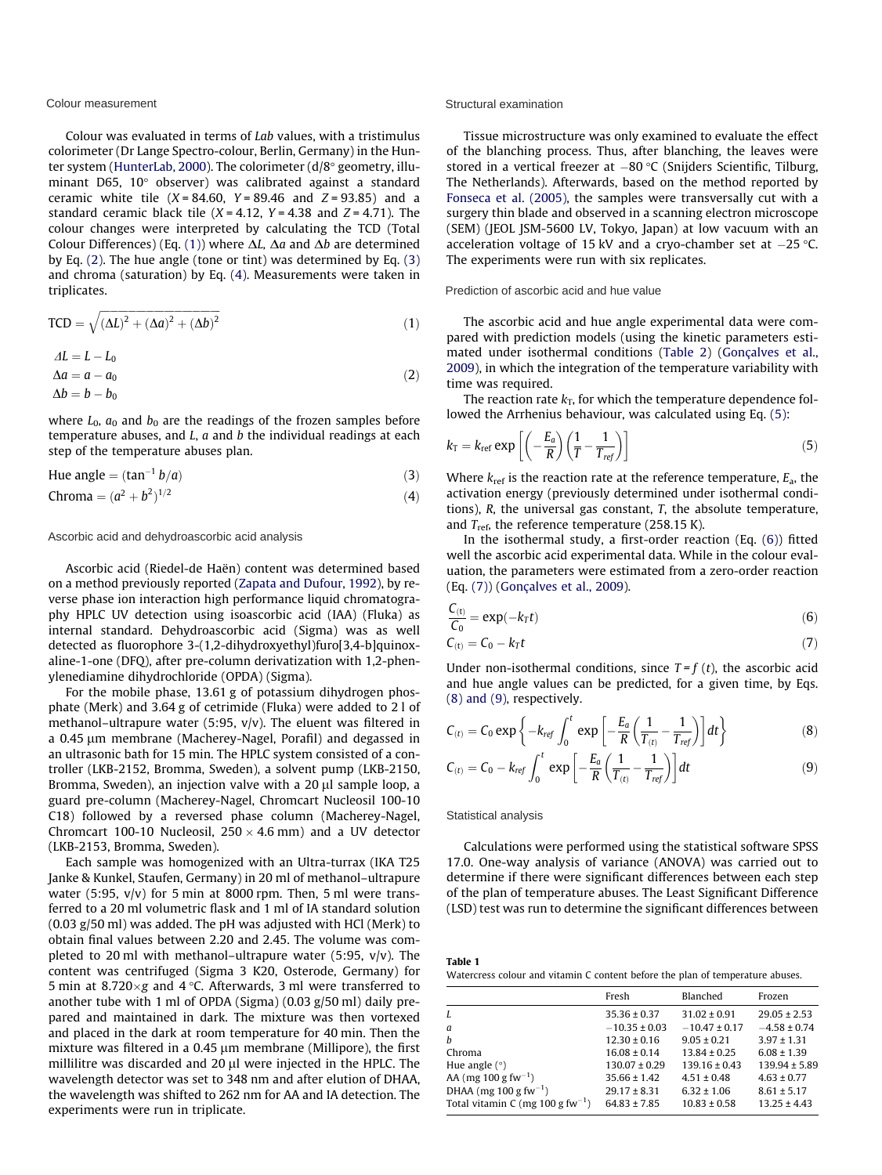Colour was evaluated in terms of Lab values, with a tristimulus colorimeter (Dr Lange Spectro-colour, Berlin, Germany) in the Hun-ter system ([HunterLab, 2000](#page-7-0)). The colorimeter (d/8° geometry, illuminant D65, 10° observer) was calibrated against a standard ceramic white tile  $(X = 84.60, Y = 89.46$  and  $Z = 93.85)$  and a standard ceramic black tile  $(X = 4.12, Y = 4.38$  and  $Z = 4.71$ ). The colour changes were interpreted by calculating the TCD (Total Colour Differences) (Eq. (1)) where  $\Delta L$ ,  $\Delta a$  and  $\Delta b$  are determined by Eq. (2). The hue angle (tone or tint) was determined by Eq. (3) and chroma (saturation) by Eq. (4). Measurements were taken in triplicates.

$$
\text{TCD} = \sqrt{(\Delta L)^2 + (\Delta a)^2 + (\Delta b)^2}
$$
 (1)

$$
\begin{aligned} \Delta L &= L - L_0 \\ \Delta a &= a - a_0 \end{aligned}
$$

$$
\Delta b = b - b_0
$$

where  $L_0$ ,  $a_0$  and  $b_0$  are the readings of the frozen samples before temperature abuses, and  $L$ ,  $a$  and  $b$  the individual readings at each step of the temperature abuses plan.

Hue angle =  $(\tan^{-1} b/a)$  (3)

$$
Chroma = (a^2 + b^2)^{1/2}
$$
 (4)

Ascorbic acid (Riedel-de Haën) content was determined based on a method previously reported [\(Zapata and Dufour, 1992](#page-7-0)), by reverse phase ion interaction high performance liquid chromatography HPLC UV detection using isoascorbic acid (IAA) (Fluka) as internal standard. Dehydroascorbic acid (Sigma) was as well detected as fluorophore 3-(1,2-dihydroxyethyl)furo[3,4-b]quinoxaline-1-one (DFQ), after pre-column derivatization with 1,2-phenylenediamine dihydrochloride (OPDA) (Sigma).

For the mobile phase, 13.61 g of potassium dihydrogen phosphate (Merk) and 3.64 g of cetrimide (Fluka) were added to 2 l of methanol–ultrapure water (5:95,  $v/v$ ). The eluent was filtered in a 0.45 µm membrane (Macherey-Nagel, Porafil) and degassed in an ultrasonic bath for 15 min. The HPLC system consisted of a controller (LKB-2152, Bromma, Sweden), a solvent pump (LKB-2150, Bromma, Sweden), an injection valve with a  $20 \mu l$  sample loop, a guard pre-column (Macherey-Nagel, Chromcart Nucleosil 100-10 C18) followed by a reversed phase column (Macherey-Nagel, Chromcart 100-10 Nucleosil,  $250 \times 4.6$  mm) and a UV detector (LKB-2153, Bromma, Sweden).

Each sample was homogenized with an Ultra-turrax (IKA T25 Janke & Kunkel, Staufen, Germany) in 20 ml of methanol–ultrapure water (5:95,  $v/v$ ) for 5 min at 8000 rpm. Then, 5 ml were transferred to a 20 ml volumetric flask and 1 ml of IA standard solution (0.03 g/50 ml) was added. The pH was adjusted with HCl (Merk) to obtain final values between 2.20 and 2.45. The volume was completed to 20 ml with methanol–ultrapure water (5:95, v/v). The content was centrifuged (Sigma 3 K20, Osterode, Germany) for 5 min at 8.720 $\times$ g and 4 °C. Afterwards, 3 ml were transferred to another tube with 1 ml of OPDA (Sigma) (0.03 g/50 ml) daily prepared and maintained in dark. The mixture was then vortexed and placed in the dark at room temperature for 40 min. Then the mixture was filtered in a 0.45  $\mu$ m membrane (Millipore), the first millilitre was discarded and 20  $\mu$ l were injected in the HPLC. The wavelength detector was set to 348 nm and after elution of DHAA, the wavelength was shifted to 262 nm for AA and IA detection. The experiments were run in triplicate.

### <span id="page-2-0"></span>Colour measurement Colour measurement Colour measurement Colour measurement Colour measurement

 $(2)$ 

Tissue microstructure was only examined to evaluate the effect of the blanching process. Thus, after blanching, the leaves were stored in a vertical freezer at  $-80$  °C (Snijders Scientific, Tilburg, The Netherlands). Afterwards, based on the method reported by [Fonseca et al. \(2005\),](#page-7-0) the samples were transversally cut with a surgery thin blade and observed in a scanning electron microscope (SEM) (JEOL JSM-5600 LV, Tokyo, Japan) at low vacuum with an acceleration voltage of 15 kV and a cryo-chamber set at  $-25$  °C. The experiments were run with six replicates.

The ascorbic acid and hue angle experimental data were compared with prediction models (using the kinetic parameters estimated under isothermal conditions [\(Table 2\)](#page-3-0) [\(Gonçalves et al.,](#page-7-0) [2009\)](#page-7-0), in which the integration of the temperature variability with time was required. triplicates.<br>
TCD =  $\sqrt{(\Delta L)^2 + (\Delta a)^2 + (\Delta b)^2}$ <br>  $\Delta L = L - L_0$ <br>  $\Delta a = a - a_0$ <br>  $\Delta b = b - b_0$ <br>
Where  $L_0$ , a<sub>0</sub> and  $b_0$  are the readings of the frozen samples before<br>
temperature abuses, and L, a and b the individual readings at

The reaction rate  $k_T$ , for which the temperature dependence followed the Arrhenius behaviour, was calculated using Eq. (5):

$$
k_{\rm T} = k_{\rm ref} \exp\left[\left(-\frac{E_a}{R}\right)\left(\frac{1}{T} - \frac{1}{T_{\rm ref}}\right)\right]
$$
(5)

Where  $k_{\text{ref}}$  is the reaction rate at the reference temperature,  $E_{\text{a}}$ , the activation energy (previously determined under isothermal conditions), R, the universal gas constant, T, the absolute temperature, and  $T_{\text{ref}}$ , the reference temperature (258.15 K).

In the isothermal study, a first-order reaction (Eq. (6)) fitted well the ascorbic acid experimental data. While in the colour evaluation, the parameters were estimated from a zero-order reaction (Eq. (7)) [\(Gonçalves et al., 2009](#page-7-0)).

$$
\frac{C_{(t)}}{C_0} = \exp(-k_T t) \tag{6}
$$

$$
C_{(t)} = C_0 - k_T t \tag{7}
$$

Under non-isothermal conditions, since  $T = f(t)$ , the ascorbic acid and hue angle values can be predicted, for a given time, by Eqs. (8) and (9), respectively.

$$
C_{(t)} = C_0 \exp\left\{-k_{ref} \int_0^t \exp\left[-\frac{E_a}{R}\left(\frac{1}{T_{(t)}} - \frac{1}{T_{ref}}\right)\right]dt\right\}
$$
(8)

$$
C_{(t)} = C_0 - k_{ref} \int_0^t \exp \left[ -\frac{E_a}{R} \left( \frac{1}{T_{(t)}} - \frac{1}{T_{ref}} \right) \right] dt
$$
 (9)

Statistical analysis

Calculations were performed using the statistical software SPSS 17.0. One-way analysis of variance (ANOVA) was carried out to determine if there were significant differences between each step of the plan of temperature abuses. The Least Significant Difference (LSD) test was run to determine the significant differences between

Table 1

Watercress colour and vitamin C content before the plan of temperature abuses.

|                                              | Fresh             | Blanched          | Frozen            |
|----------------------------------------------|-------------------|-------------------|-------------------|
| L                                            | $35.36 \pm 0.37$  | $31.02 \pm 0.91$  | $29.05 \pm 2.53$  |
| $\boldsymbol{a}$                             | $-10.35 \pm 0.03$ | $-10.47 \pm 0.17$ | $-4.58 \pm 0.74$  |
| $\boldsymbol{h}$                             | $12.30 \pm 0.16$  | $9.05 \pm 0.21$   | $3.97 \pm 1.31$   |
| Chroma                                       | $16.08 \pm 0.14$  | $13.84 \pm 0.25$  | $6.08 \pm 1.39$   |
| Hue angle $(°)$                              | $130.07 \pm 0.29$ | $139.16 \pm 0.43$ | $139.94 \pm 5.89$ |
| AA (mg 100 g fw <sup>-1</sup> )              | $35.66 \pm 1.42$  | $4.51 \pm 0.48$   | $4.63 \pm 0.77$   |
| DHAA (mg 100 g fw <sup>-1</sup> )            | $29.17 \pm 8.31$  | $6.32 \pm 1.06$   | $8.61 \pm 5.17$   |
| Total vitamin C (mg 100 g fw <sup>-1</sup> ) | $64.83 \pm 7.85$  | $10.83 \pm 0.58$  | $13.25 \pm 4.43$  |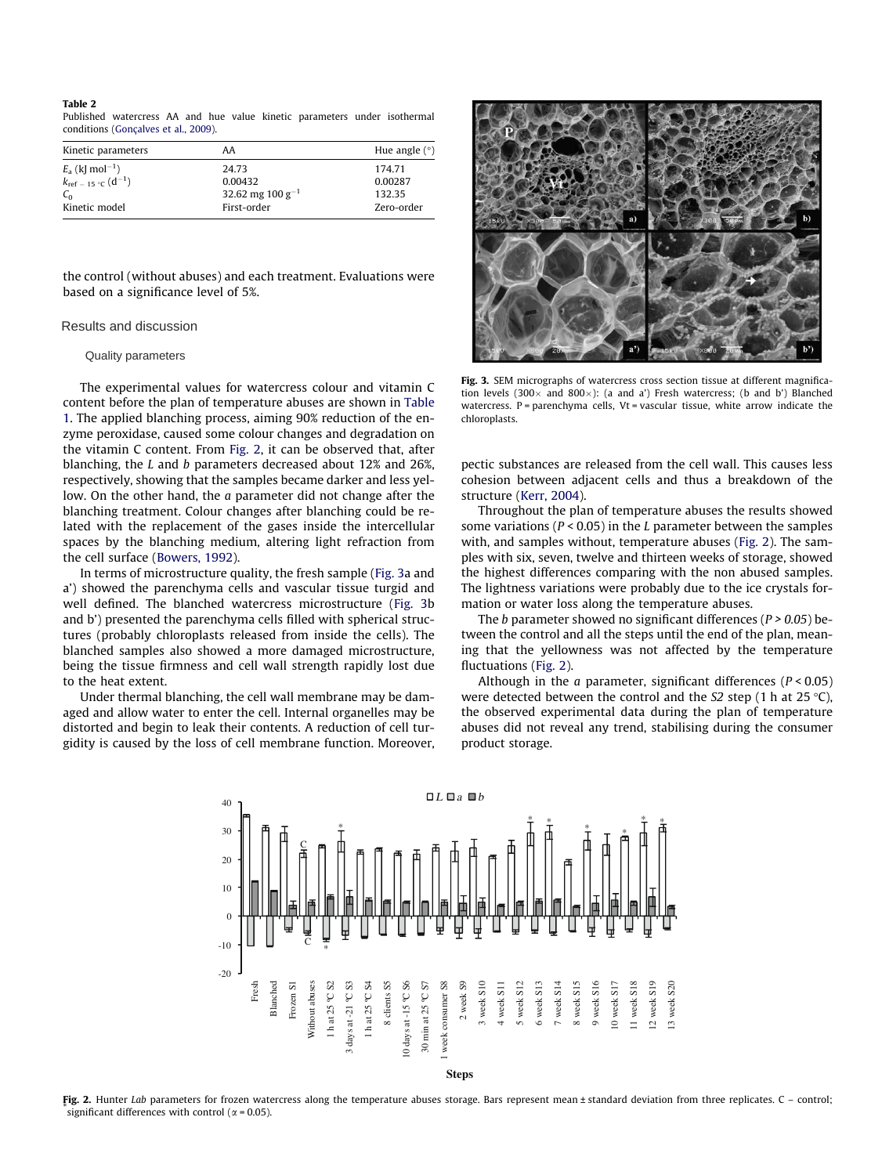### <span id="page-3-0"></span>Table 2

Published watercress AA and hue value kinetic parameters under isothermal conditions ([Gonçalves et al., 2009\)](#page-7-0).

| AA                           | Hue angle $(°)$ |
|------------------------------|-----------------|
| 24.73                        | 174.71          |
| 0.00432                      | 0.00287         |
| 32.62 mg 100 g <sup>-1</sup> | 132.35          |
| First-order                  | Zero-order      |
|                              |                 |

the control (without abuses) and each treatment. Evaluations were based on a significance level of 5%.

# Results and discussion

# Quality parameters

The experimental values for watercress colour and vitamin C content before the plan of temperature abuses are shown in [Table](#page-2-0) [1](#page-2-0). The applied blanching process, aiming 90% reduction of the enzyme peroxidase, caused some colour changes and degradation on the vitamin C content. From Fig. 2, it can be observed that, after blanching, the L and b parameters decreased about 12% and 26%, respectively, showing that the samples became darker and less yellow. On the other hand, the a parameter did not change after the blanching treatment. Colour changes after blanching could be related with the replacement of the gases inside the intercellular spaces by the blanching medium, altering light refraction from the cell surface ([Bowers, 1992](#page-7-0)).

In terms of microstructure quality, the fresh sample (Fig. 3a and a') showed the parenchyma cells and vascular tissue turgid and well defined. The blanched watercress microstructure (Fig. 3b and b') presented the parenchyma cells filled with spherical structures (probably chloroplasts released from inside the cells). The blanched samples also showed a more damaged microstructure, being the tissue firmness and cell wall strength rapidly lost due to the heat extent.

Under thermal blanching, the cell wall membrane may be damaged and allow water to enter the cell. Internal organelles may be distorted and begin to leak their contents. A reduction of cell turgidity is caused by the loss of cell membrane function. Moreover,



Fig. 3. SEM micrographs of watercress cross section tissue at different magnification levels (300 $\times$  and 800 $\times$ ): (a and a') Fresh watercress; (b and b') Blanched watercress.  $P =$  parenchyma cells,  $Vt =$  vascular tissue, white arrow indicate the chloroplasts.

pectic substances are released from the cell wall. This causes less cohesion between adjacent cells and thus a breakdown of the structure ([Kerr, 2004](#page-7-0)).

Throughout the plan of temperature abuses the results showed some variations ( $P < 0.05$ ) in the *L* parameter between the samples with, and samples without, temperature abuses (Fig. 2). The samples with six, seven, twelve and thirteen weeks of storage, showed the highest differences comparing with the non abused samples. The lightness variations were probably due to the ice crystals formation or water loss along the temperature abuses.

The *b* parameter showed no significant differences ( $P > 0.05$ ) between the control and all the steps until the end of the plan, meaning that the yellowness was not affected by the temperature fluctuations (Fig. 2).

Although in the  $a$  parameter, significant differences ( $P < 0.05$ ) were detected between the control and the S2 step (1 h at 25  $\degree$ C), the observed experimental data during the plan of temperature abuses did not reveal any trend, stabilising during the consumer product storage.



Fig. 2. Hunter Lab parameters for frozen watercress along the temperature abuses storage. Bars represent mean ± standard deviation from three replicates. C - control; significant differences with control ( $\alpha$  = 0.05).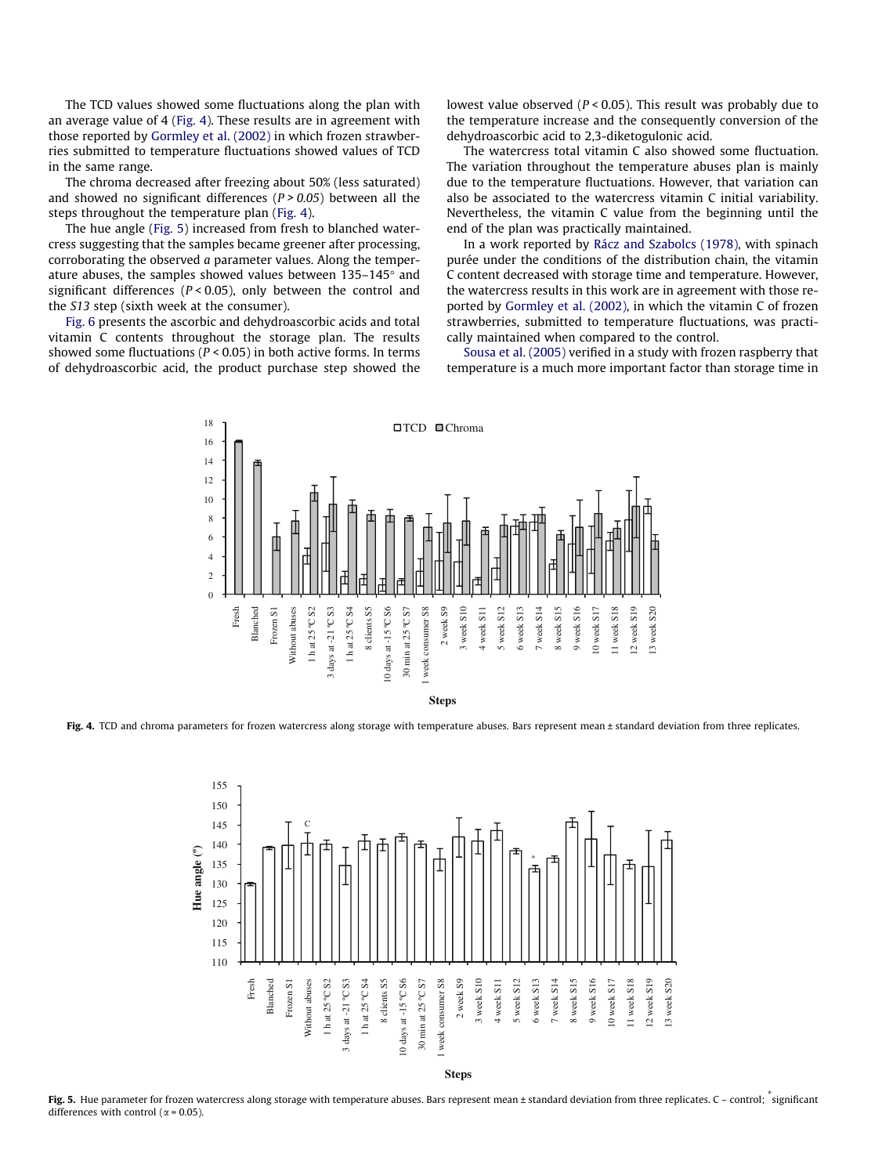The TCD values showed some fluctuations along the plan with an average value of 4 (Fig. 4). These results are in agreement with those reported by [Gormley et al. \(2002\)](#page-7-0) in which frozen strawberries submitted to temperature fluctuations showed values of TCD in the same range.

The chroma decreased after freezing about 50% (less saturated) and showed no significant differences ( $P > 0.05$ ) between all the steps throughout the temperature plan (Fig. 4).

The hue angle (Fig. 5) increased from fresh to blanched watercress suggesting that the samples became greener after processing, corroborating the observed a parameter values. Along the temperature abuses, the samples showed values between  $135-145^\circ$  and significant differences ( $P < 0.05$ ), only between the control and the S13 step (sixth week at the consumer).

[Fig. 6](#page-5-0) presents the ascorbic and dehydroascorbic acids and total vitamin C contents throughout the storage plan. The results showed some fluctuations ( $P < 0.05$ ) in both active forms. In terms of dehydroascorbic acid, the product purchase step showed the

lowest value observed ( $P < 0.05$ ). This result was probably due to the temperature increase and the consequently conversion of the dehydroascorbic acid to 2,3-diketogulonic acid.

The watercress total vitamin C also showed some fluctuation. The variation throughout the temperature abuses plan is mainly due to the temperature fluctuations. However, that variation can also be associated to the watercress vitamin C initial variability. Nevertheless, the vitamin C value from the beginning until the end of the plan was practically maintained.

In a work reported by [Rácz and Szabolcs \(1978\)](#page-7-0), with spinach purée under the conditions of the distribution chain, the vitamin C content decreased with storage time and temperature. However, the watercress results in this work are in agreement with those reported by [Gormley et al. \(2002\)](#page-7-0), in which the vitamin C of frozen strawberries, submitted to temperature fluctuations, was practically maintained when compared to the control.

[Sousa et al. \(2005\)](#page-7-0) verified in a study with frozen raspberry that temperature is a much more important factor than storage time in



**Steps**

Fig. 4. TCD and chroma parameters for frozen watercress along storage with temperature abuses. Bars represent mean ± standard deviation from three replicates.



Fig. 5. Hue parameter for frozen watercress along storage with temperature abuses. Bars represent mean ± standard deviation from three replicates. C – control; \* significant differences with control ( $\alpha$  = 0.05).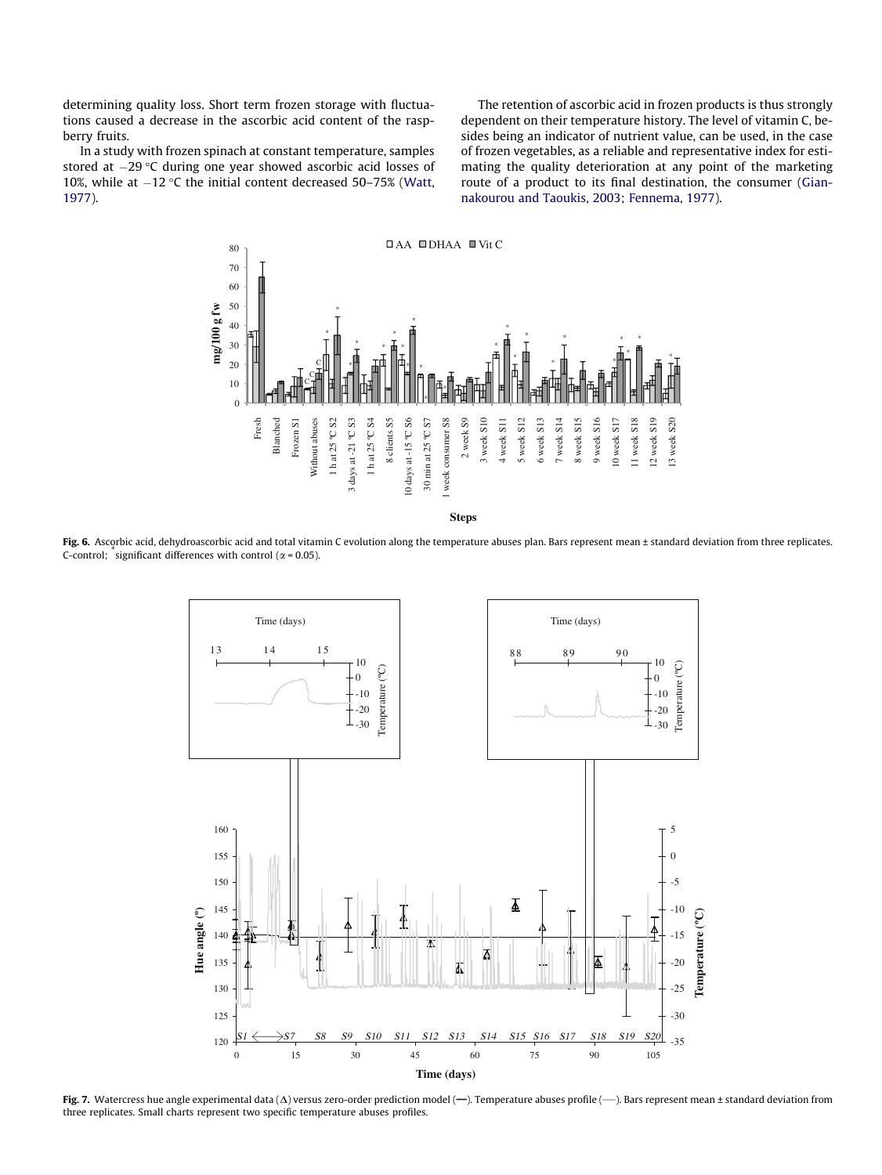<span id="page-5-0"></span>determining quality loss. Short term frozen storage with fluctuations caused a decrease in the ascorbic acid content of the raspberry fruits.

In a study with frozen spinach at constant temperature, samples stored at –29 °C during one year showed ascorbic acid losses of 10%, while at  $-12$  °C the initial content decreased 50–75% ([Watt,](#page-7-0) [1977\)](#page-7-0).

The retention of ascorbic acid in frozen products is thus strongly dependent on their temperature history. The level of vitamin C, besides being an indicator of nutrient value, can be used, in the case of frozen vegetables, as a reliable and representative index for estimating the quality deterioration at any point of the marketing route of a product to its final destination, the consumer ([Gian](#page-7-0)[nakourou and Taoukis, 2003; Fennema, 1977\)](#page-7-0).



**Steps**

Fig. 6. Ascorbic acid, dehydroascorbic acid and total vitamin C evolution along the temperature abuses plan. Bars represent mean ± standard deviation from three replicates. C-control; significant differences with control ( $\alpha$  = 0.05).



Fig. 7. Watercress hue angle experimental data ( $\Delta$ ) versus zero-order prediction model (—). Temperature abuses profile (—). Bars represent mean ± standard deviation from three replicates. Small charts represent two specific temperature abuses profiles.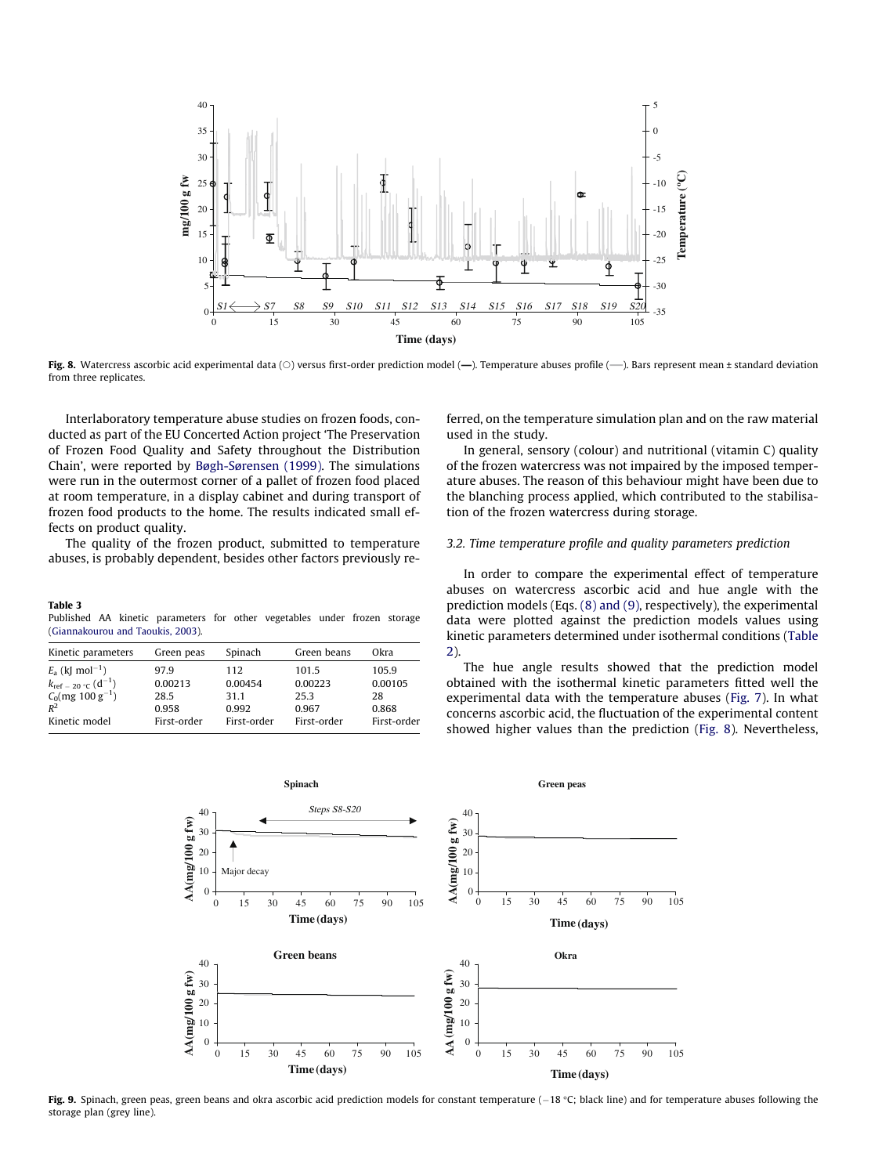<span id="page-6-0"></span>

Fig. 8. Watercress ascorbic acid experimental data (O) versus first-order prediction model (—). Temperature abuses profile (—). Bars represent mean ± standard deviation from three replicates.

Interlaboratory temperature abuse studies on frozen foods, conducted as part of the EU Concerted Action project 'The Preservation of Frozen Food Quality and Safety throughout the Distribution Chain', were reported by [B](#page-7-0)ø[gh-Sørensen \(1999\)](#page-7-0). The simulations were run in the outermost corner of a pallet of frozen food placed at room temperature, in a display cabinet and during transport of frozen food products to the home. The results indicated small effects on product quality.

The quality of the frozen product, submitted to temperature abuses, is probably dependent, besides other factors previously re-

### Table 3

Published AA kinetic parameters for other vegetables under frozen storage [\(Giannakourou and Taoukis, 2003](#page-7-0)).

| Kinetic parameters                  | Green peas  | Spinach     | Green beans | Okra        |
|-------------------------------------|-------------|-------------|-------------|-------------|
| $E_{a}$ (kJ mol <sup>-1</sup> )     | 97 9        | 112         | 101.5       | 105.9       |
| $k_{\text{ref}}$ – 20 °C $(d^{-1})$ | 0.00213     | 0.00454     | 0.00223     | 0.00105     |
| $C_0$ (mg 100 g <sup>-1</sup> )     | 28.5        | 31.1        | 25.3        | 28          |
| $R^2$                               | 0.958       | 0.992       | 0.967       | 0.868       |
| Kinetic model                       | First-order | First-order | First-order | First-order |

ferred, on the temperature simulation plan and on the raw material used in the study.

In general, sensory (colour) and nutritional (vitamin C) quality of the frozen watercress was not impaired by the imposed temperature abuses. The reason of this behaviour might have been due to the blanching process applied, which contributed to the stabilisation of the frozen watercress during storage.

# 3.2. Time temperature profile and quality parameters prediction

In order to compare the experimental effect of temperature abuses on watercress ascorbic acid and hue angle with the prediction models (Eqs. [\(8\) and \(9\),](#page-2-0) respectively), the experimental data were plotted against the prediction models values using kinetic parameters determined under isothermal conditions [\(Table](#page-3-0) [2](#page-3-0)).

The hue angle results showed that the prediction model obtained with the isothermal kinetic parameters fitted well the experimental data with the temperature abuses [\(Fig. 7\)](#page-5-0). In what concerns ascorbic acid, the fluctuation of the experimental content showed higher values than the prediction (Fig. 8). Nevertheless,



Fig. 9. Spinach, green peas, green beans and okra ascorbic acid prediction models for constant temperature ( $-18$  °C; black line) and for temperature abuses following the storage plan (grey line).